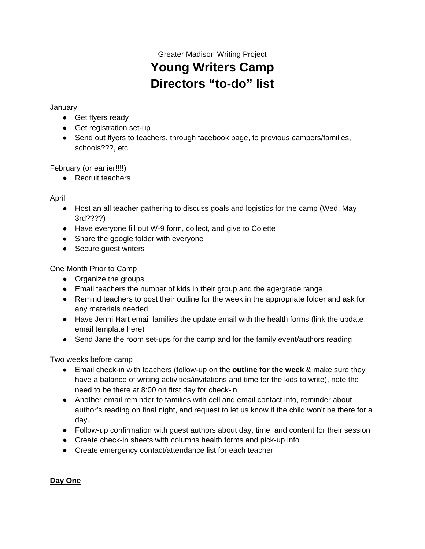# Greater Madison Writing Project **Young Writers Camp Directors "to-do" list**

#### **January**

- Get flyers ready
- Get registration set-up
- Send out flyers to teachers, through facebook page, to previous campers/families, schools???, etc.

## February (or earlier!!!!)

● Recruit teachers

## April

- Host an all teacher gathering to discuss goals and logistics for the camp (Wed, May 3rd????)
- Have everyone fill out W-9 form, collect, and give to Colette
- Share the google folder with everyone
- Secure quest writers

## One Month Prior to Camp

- Organize the groups
- Email teachers the number of kids in their group and the age/grade range
- Remind teachers to post their outline for the week in the appropriate folder and ask for any materials needed
- Have Jenni Hart email families the update email with the health forms (link the update email template here)
- Send Jane the room set-ups for the camp and for the family event/authors reading

Two weeks before camp

- Email check-in with teachers (follow-up on the **outline for the week** & make sure they have a balance of writing activities/invitations and time for the kids to write), note the need to be there at 8:00 on first day for check-in
- Another email reminder to families with cell and email contact info, reminder about author's reading on final night, and request to let us know if the child won't be there for a day.
- Follow-up confirmation with guest authors about day, time, and content for their session
- Create check-in sheets with columns health forms and pick-up info
- Create emergency contact/attendance list for each teacher

## **Day One**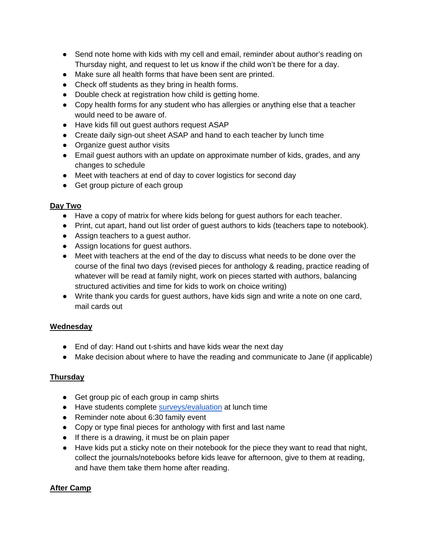- Send note home with kids with my cell and email, reminder about author's reading on Thursday night, and request to let us know if the child won't be there for a day.
- Make sure all health forms that have been sent are printed.
- Check off students as they bring in health forms.
- Double check at registration how child is getting home.
- Copy health forms for any student who has allergies or anything else that a teacher would need to be aware of.
- Have kids fill out quest authors request ASAP
- Create daily sign-out sheet ASAP and hand to each teacher by lunch time
- Organize guest author visits
- Email guest authors with an update on approximate number of kids, grades, and any changes to schedule
- Meet with teachers at end of day to cover logistics for second day
- Get group picture of each group

#### **Day Two**

- Have a copy of matrix for where kids belong for guest authors for each teacher.
- Print, cut apart, hand out list order of guest authors to kids (teachers tape to notebook).
- Assign teachers to a guest author.
- Assign locations for guest authors.
- Meet with teachers at the end of the day to discuss what needs to be done over the course of the final two days (revised pieces for anthology & reading, practice reading of whatever will be read at family night, work on pieces started with authors, balancing structured activities and time for kids to work on choice writing)
- Write thank you cards for guest authors, have kids sign and write a note on one card, mail cards out

## **Wednesday**

- End of day: Hand out t-shirts and have kids wear the next day
- Make decision about where to have the reading and communicate to Jane (if applicable)

## **Thursday**

- Get group pic of each group in camp shirts
- Have students complete [surveys/evaluation](https://docs.google.com/document/d/1MALkwXR_xTlEVA6a-m6BXiJpm-TDvyg63DcIZERmRrk/edit?usp=sharing) at lunch time
- Reminder note about 6:30 family event
- Copy or type final pieces for anthology with first and last name
- If there is a drawing, it must be on plain paper
- Have kids put a sticky note on their notebook for the piece they want to read that night, collect the journals/notebooks before kids leave for afternoon, give to them at reading, and have them take them home after reading.

## **After Camp**